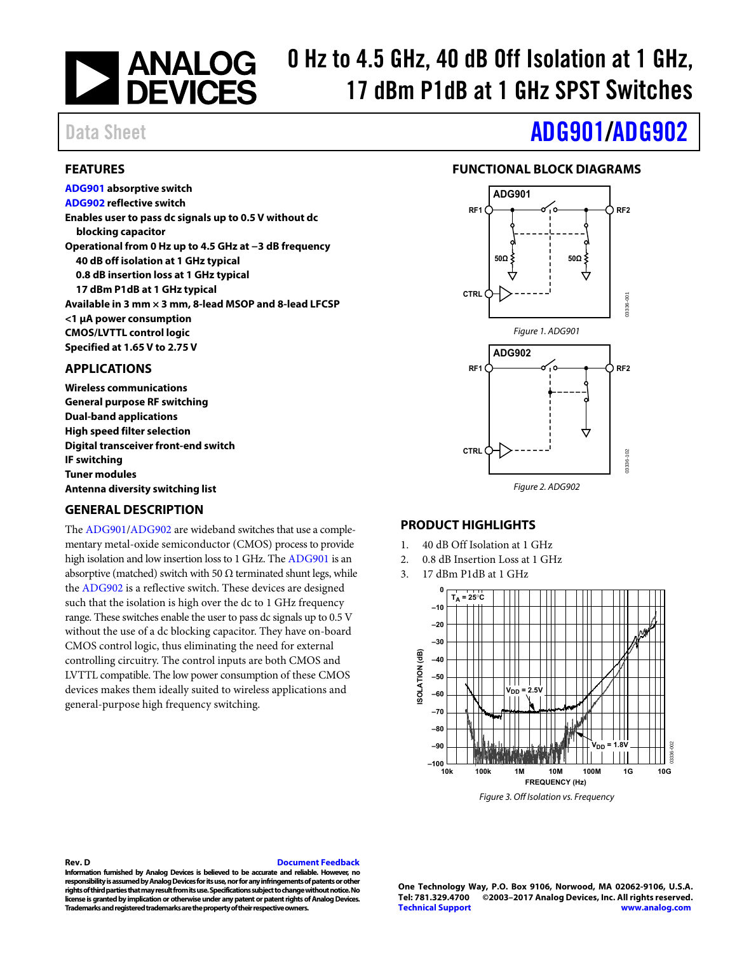### 0 Hz to 4.5 GHz, 40 dB Off Isolation at 1 GHz, **NEWALOG**<br>DEVICES 17 dBm P1dB at 1 GHz SPST Switches

**[ADG901 a](http://www.analog.com/ADG901?doc=ADG901_902.pdf)bsorptive switch [ADG902 r](http://www.analog.com/ADG902?doc=ADG901_902.pdf)eflective switch** 

**blocking capacitor** 

**<1 μA power consumption CMOS/LVTTL control logic Specified at 1.65 V to 2.75 V** 

**Enables user to pass dc signals up to 0.5 V without dc** 

**40 dB off isolation at 1 GHz typical 0.8 dB insertion loss at 1 GHz typical 17 dBm P1dB at 1 GHz typical** 

**Operational from 0 Hz up to 4.5 GHz at −3 dB frequency** 

**Available in 3 mm × 3 mm, 8-lead MSOP and 8-lead LFCSP** 

<span id="page-0-0"></span>**FEATURES** 

# Data Sheet **[ADG901](http://www.analog.com/ADG901?doc=ADG901_902.pdf)/[ADG902](http://www.analog.com/ADG902?doc=ADG901_902.pdf)**

### **FUNCTIONAL BLOCK DIAGRAMS**

<span id="page-0-2"></span>

### <span id="page-0-1"></span>**APPLICATIONS**

**Wireless communications General purpose RF switching Dual-band applications High speed filter selection Digital transceiver front-end switch IF switching Tuner modules Antenna diversity switching list** 

### <span id="page-0-3"></span>**GENERAL DESCRIPTION**

The [ADG901/](http://www.analog.com/ADG901?doc=ADG901_902.pdf)[ADG902 a](http://www.analog.com/ADG902?doc=ADG901_902.pdf)re wideband switches that use a complementary metal-oxide semiconductor (CMOS) process to provide high isolation and low insertion loss to 1 GHz. Th[e ADG901 i](http://www.analog.com/ADG901?doc=ADG901_902.pdf)s an absorptive (matched) switch with 50  $\Omega$  terminated shunt legs, while the [ADG902 i](http://www.analog.com/ADG902?doc=ADG901_902.pdf)s a reflective switch. These devices are designed such that the isolation is high over the dc to 1 GHz frequency range. These switches enable the user to pass dc signals up to 0.5 V without the use of a dc blocking capacitor. They have on-board CMOS control logic, thus eliminating the need for external controlling circuitry. The control inputs are both CMOS and LVTTL compatible. The low power consumption of these CMOS devices makes them ideally suited to wireless applications and general-purpose high frequency switching.

### <span id="page-0-4"></span>**PRODUCT HIGHLIGHTS**

- 1. 40 dB Off Isolation at 1 GHz
- 2. 0.8 dB Insertion Loss at 1 GHz
- 3. 17 dBm P1dB at 1 GHz



Figure 3. Off Isolation vs. Frequency

#### **Rev. D [Document Feedback](https://form.analog.com/Form_Pages/feedback/documentfeedback.aspx?doc=ADG901_902.pdf&product=ADG901%20ADG902&rev=D)**

**Information furnished by Analog Devices is believed to be accurate and reliable. However, no responsibility is assumed by Analog Devices for its use, nor for any infringements of patents or other rights of third parties that may result from its use. Specifications subject to change without notice. No license is granted by implication or otherwise under any patent or patent rights of Analog Devices. Trademarks and registered trademarks are the property of their respective owners.** 

**One Technology Way, P.O. Box 9106, Norwood, MA 02062-9106, U.S.A. Tel: 781.329.4700 ©2003–2017 Analog Devices, Inc. All rights reserved. [Technical Support](http://www.analog.com/en/content/technical_support_page/fca.html) [www.analog.com](http://www.analog.com/)**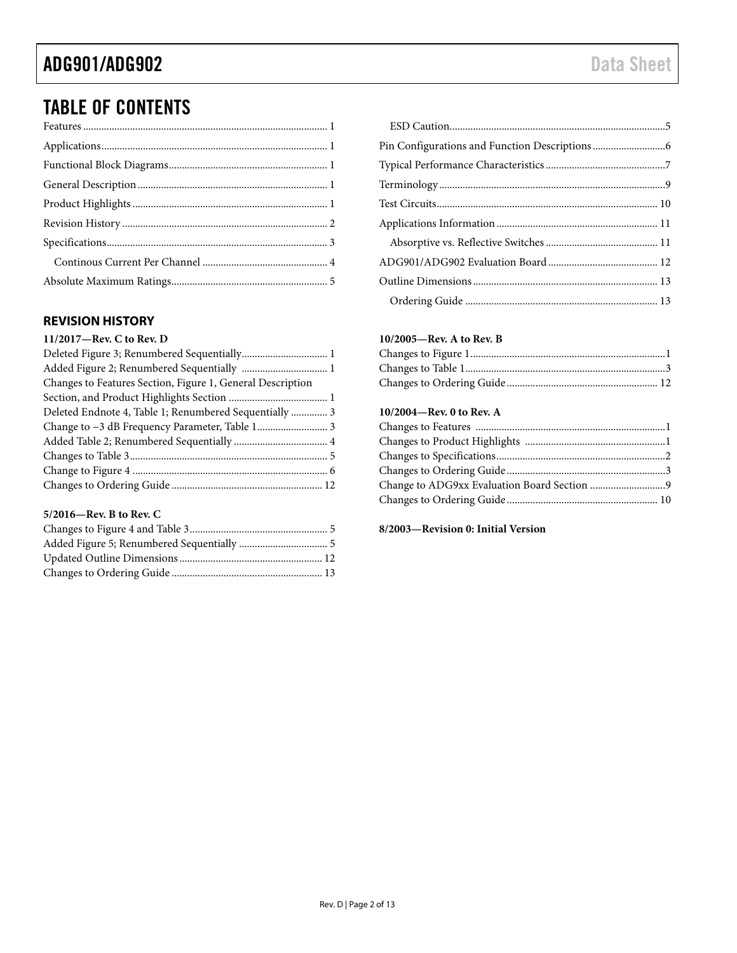# TABLE OF CONTENTS

### <span id="page-1-0"></span>**REVISION HISTORY**

| 11/2017-Rev. C to Rev. D                                   |  |
|------------------------------------------------------------|--|
|                                                            |  |
|                                                            |  |
| Changes to Features Section, Figure 1, General Description |  |
|                                                            |  |
| Deleted Endnote 4, Table 1; Renumbered Sequentially  3     |  |
|                                                            |  |
|                                                            |  |
|                                                            |  |
|                                                            |  |
|                                                            |  |

#### **5/2016—Rev. B to Rev. C**

#### **10/2005—Rev. A to Rev. B**

#### **10/2004—Rev. 0 to Rev. A**

#### **8/2003—Revision 0: Initial Version**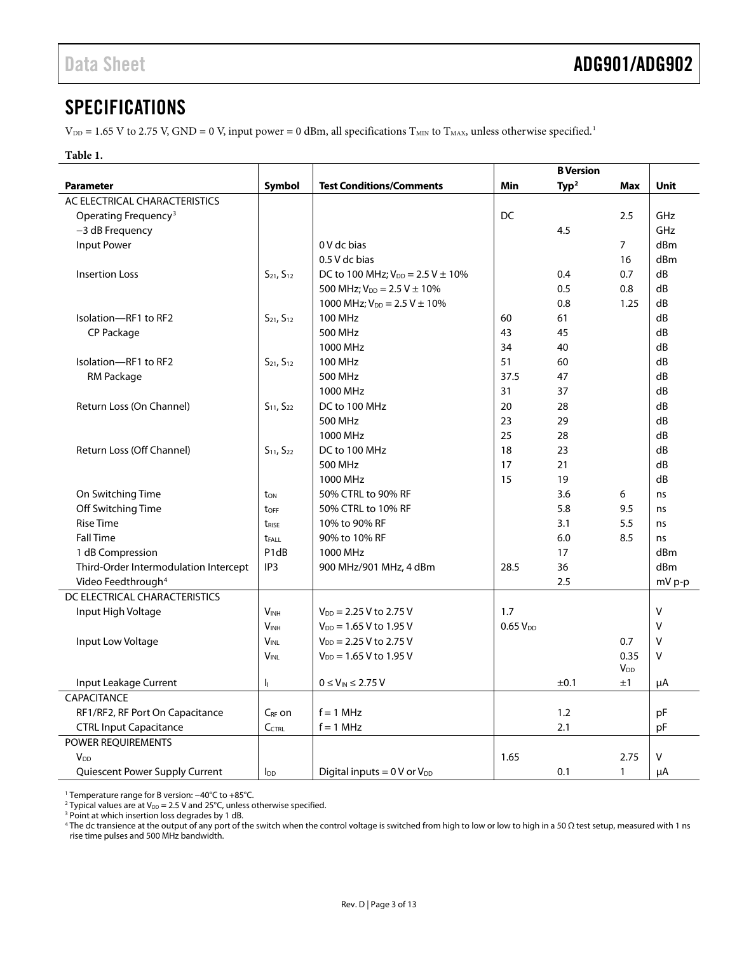### <span id="page-2-0"></span>SPECIFICATIONS

 $V_{\text{DD}}$  = 1.65 V to 2.75 V, GND = 0 V, input power = 0 dBm, all specifications T<sub>MIN</sub> to T<sub>MAX</sub>, unless otherwise specified.<sup>1</sup>

#### **Table 1.**

|                                       |                               |                                                  |                     | <b>B</b> Version  |                       |             |
|---------------------------------------|-------------------------------|--------------------------------------------------|---------------------|-------------------|-----------------------|-------------|
| <b>Parameter</b>                      | Symbol                        | <b>Test Conditions/Comments</b>                  | Min                 | Type <sup>2</sup> | <b>Max</b>            | <b>Unit</b> |
| AC ELECTRICAL CHARACTERISTICS         |                               |                                                  |                     |                   |                       |             |
| Operating Frequency <sup>3</sup>      |                               |                                                  | DC                  |                   | 2.5                   | GHz         |
| -3 dB Frequency                       |                               |                                                  |                     | 4.5               |                       | GHz         |
| <b>Input Power</b>                    |                               | 0 V dc bias                                      |                     |                   | $\overline{7}$        | dBm         |
|                                       |                               | 0.5 V dc bias                                    |                     |                   | 16                    | dBm         |
| <b>Insertion Loss</b>                 | $S_{21}$ , $S_{12}$           | DC to 100 MHz; $V_{DD} = 2.5 V \pm 10\%$         |                     | 0.4               | 0.7                   | dB          |
|                                       |                               | 500 MHz; $V_{DD} = 2.5 V \pm 10\%$               |                     | 0.5               | 0.8                   | dB          |
|                                       |                               | 1000 MHz; $V_{DD} = 2.5 V \pm 10\%$              |                     | 0.8               | 1.25                  | dB          |
| Isolation-RF1 to RF2                  | $S_{21}$ , $S_{12}$           | <b>100 MHz</b>                                   | 60                  | 61                |                       | dB          |
| CP Package                            |                               | 500 MHz                                          | 43                  | 45                |                       | dB          |
|                                       |                               | 1000 MHz                                         | 34                  | 40                |                       | dB          |
| Isolation-RF1 to RF2                  | $S_{21}$ , $S_{12}$           | 100 MHz                                          | 51                  | 60                |                       | dB          |
| RM Package                            |                               | 500 MHz                                          | 37.5                | 47                |                       | dB          |
|                                       |                               | 1000 MHz                                         | 31                  | 37                |                       | dB          |
| Return Loss (On Channel)              | $S_{11}$ , $S_{22}$           | DC to 100 MHz                                    | 20                  | 28                |                       | dB          |
|                                       |                               | 500 MHz                                          | 23                  | 29                |                       | dB          |
|                                       |                               | 1000 MHz                                         | 25                  | 28                |                       | dB          |
| Return Loss (Off Channel)             | $S_{11}$ , $S_{22}$           | DC to 100 MHz                                    | 18                  | 23                |                       | dB          |
|                                       |                               | 500 MHz                                          | 17                  | 21                |                       | dB          |
|                                       |                               | 1000 MHz                                         | 15                  | 19                |                       | dB          |
| On Switching Time                     | ton                           | 50% CTRL to 90% RF                               |                     | 3.6               | 6                     | ns          |
| Off Switching Time                    | toff                          | 50% CTRL to 10% RF                               |                     | 5.8               | 9.5                   | ns          |
| <b>Rise Time</b>                      | trise                         | 10% to 90% RF                                    |                     | 3.1               | 5.5                   | ns          |
| <b>Fall Time</b>                      | t <sub>FALL</sub>             | 90% to 10% RF                                    |                     | 6.0               | 8.5                   | ns          |
| 1 dB Compression                      | P <sub>1</sub> d <sub>B</sub> | 1000 MHz                                         |                     | 17                |                       | dBm         |
| Third-Order Intermodulation Intercept | IP <sub>3</sub>               | 900 MHz/901 MHz, 4 dBm                           | 28.5                | 36                |                       | dBm         |
| Video Feedthrough <sup>4</sup>        |                               |                                                  |                     | 2.5               |                       | mV p-p      |
| DC ELECTRICAL CHARACTERISTICS         |                               |                                                  |                     |                   |                       |             |
| Input High Voltage                    | <b>VINH</b>                   | $V_{DD}$ = 2.25 V to 2.75 V                      | 1.7                 |                   |                       | V           |
|                                       | <b>VINH</b>                   | $V_{DD} = 1.65 V$ to 1.95 V                      | 0.65V <sub>DD</sub> |                   |                       | V           |
| Input Low Voltage                     | $V_{\sf INL}$                 | $V_{DD}$ = 2.25 V to 2.75 V                      |                     |                   | 0.7                   | V           |
|                                       | $V_{\text{INL}}$              | $V_{DD} = 1.65 V$ to 1.95 V                      |                     |                   | 0.35                  | V           |
|                                       |                               |                                                  |                     |                   | <b>V<sub>DD</sub></b> |             |
| Input Leakage Current                 | h,                            | $0 \leq V_{IN} \leq 2.75 V$                      |                     | ±0.1              | ±1                    | μA          |
| CAPACITANCE                           |                               |                                                  |                     |                   |                       |             |
| RF1/RF2, RF Port On Capacitance       | C <sub>RF</sub> on            | $f = 1$ MHz                                      |                     | 1.2               |                       | рF          |
| <b>CTRL Input Capacitance</b>         | CCTRL                         | $f = 1$ MHz                                      |                     | 2.1               |                       | pF          |
| POWER REQUIREMENTS                    |                               |                                                  |                     |                   |                       |             |
| <b>V</b> <sub>DD</sub>                |                               |                                                  | 1.65                |                   | 2.75                  | V           |
| Quiescent Power Supply Current        | $I_{DD}$                      | Digital inputs = $0 \text{ V or } V_{\text{DD}}$ |                     | 0.1               | 1                     | μA          |

<sup>1</sup> Temperature range for B version: −40°C to +85°C.

<sup>2</sup> Typical values are at  $V_{DD}$  = 2.5 V and 25°C, unless otherwise specified.

<sup>3</sup> Point at which insertion loss degrades by 1 dB.

<sup>4</sup> The dc transience at the output of any port of the switch when the control voltage is switched from high to low or low to high in a 50 Ω test setup, measured with 1 ns rise time pulses and 500 MHz bandwidth.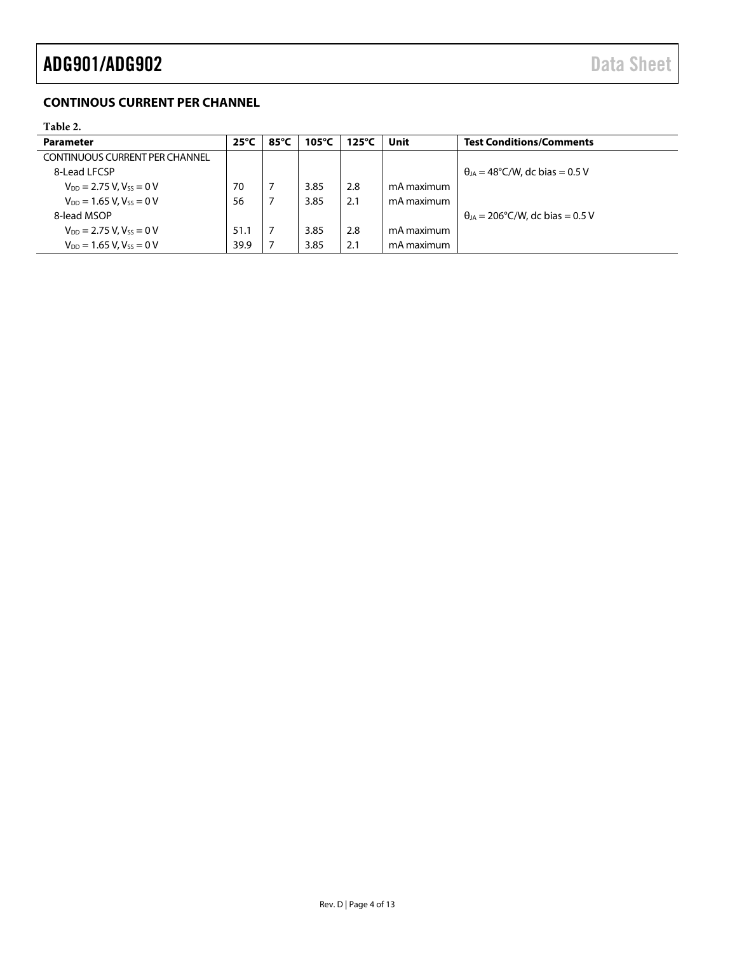# ADG901/ADG902 Data Sheet

### <span id="page-3-0"></span>**CONTINOUS CURRENT PER CHANNEL**

### <span id="page-3-1"></span>**Table 2.**

| <b>Parameter</b>                      | $25^{\circ}$ C | 85°C | 105°C | $125^{\circ}$ C | Unit       | <b>Test Conditions/Comments</b>          |
|---------------------------------------|----------------|------|-------|-----------------|------------|------------------------------------------|
| <b>CONTINUOUS CURRENT PER CHANNEL</b> |                |      |       |                 |            |                                          |
| 8-Lead LFCSP                          |                |      |       |                 |            | $\theta_{IA}$ = 48°C/W, dc bias = 0.5 V  |
| $V_{DD} = 2.75 V$ , $V_{SS} = 0 V$    | 70             |      | 3.85  | 2.8             | mA maximum |                                          |
| $V_{DD} = 1.65 V, V_{SS} = 0 V$       | 56             |      | 3.85  | 2.1             | mA maximum |                                          |
| 8-lead MSOP                           |                |      |       |                 |            | $\theta_{IA}$ = 206°C/W, dc bias = 0.5 V |
| $V_{DD} = 2.75 V, V_{SS} = 0 V$       | 51.1           |      | 3.85  | 2.8             | mA maximum |                                          |
| $V_{DD} = 1.65 V$ , $V_{ss} = 0 V$    | 39.9           |      | 3.85  | 2.1             | mA maximum |                                          |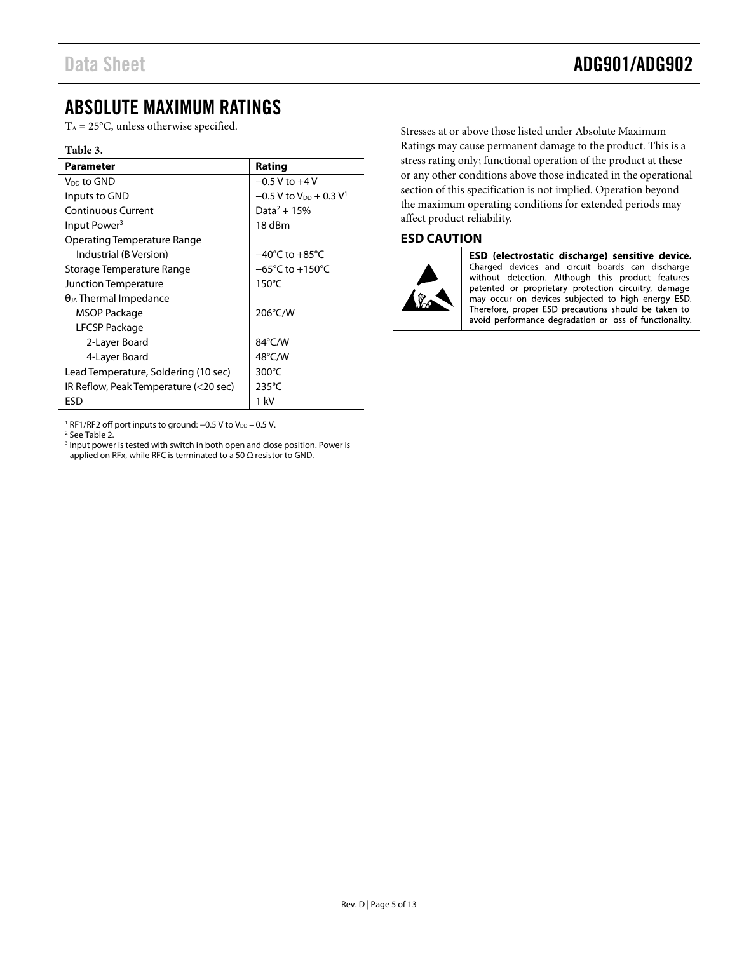## <span id="page-4-0"></span>ABSOLUTE MAXIMUM RATINGS

 $T_A = 25$ °C, unless otherwise specified.

#### **Table 3.**

| <b>Parameter</b>                      | Rating                                           |
|---------------------------------------|--------------------------------------------------|
| V <sub>DD</sub> to GND                | $-0.5$ V to $+4$ V                               |
| Inputs to GND                         | $-0.5$ V to V <sub>DD</sub> + 0.3 V <sup>1</sup> |
| Continuous Current                    | Data <sup>2</sup> + 15%                          |
| Input Power <sup>3</sup>              | 18 dBm                                           |
| Operating Temperature Range           |                                                  |
| Industrial (B Version)                | $-40^{\circ}$ C to $+85^{\circ}$ C               |
| Storage Temperature Range             | $-65^{\circ}$ C to $+150^{\circ}$ C              |
| Junction Temperature                  | $150^{\circ}$ C                                  |
| $\theta_{JA}$ Thermal Impedance       |                                                  |
| MSOP Package                          | 206°C/W                                          |
| LFCSP Package                         |                                                  |
| 2-Layer Board                         | $84^{\circ}$ C/W                                 |
| 4-Layer Board                         | $48^{\circ}$ C/W                                 |
| Lead Temperature, Soldering (10 sec)  | $300^{\circ}$ C                                  |
| IR Reflow, Peak Temperature (<20 sec) | $235^{\circ}$ C                                  |
| ESD                                   | 1 kV                                             |

<sup>1</sup> RF1/RF2 off port inputs to ground: −0.5 V to V<sub>DD</sub> − 0.5 V.

<sup>2</sup> Se[e Table 2.](#page-3-1)

<sup>3</sup> Input power is tested with switch in both open and close position. Power is applied on RFx, while RFC is terminated to a 50  $\Omega$  resistor to GND.

Stresses at or above those listed under Absolute Maximum Ratings may cause permanent damage to the product. This is a stress rating only; functional operation of the product at these or any other conditions above those indicated in the operational section of this specification is not implied. Operation beyond the maximum operating conditions for extended periods may affect product reliability.

### <span id="page-4-1"></span>**ESD CAUTION**



ESD (electrostatic discharge) sensitive device. Charged devices and circuit boards can discharge without detection. Although this product features patented or proprietary protection circuitry, damage may occur on devices subjected to high energy ESD. Therefore, proper ESD precautions should be taken to avoid performance degradation or loss of functionality.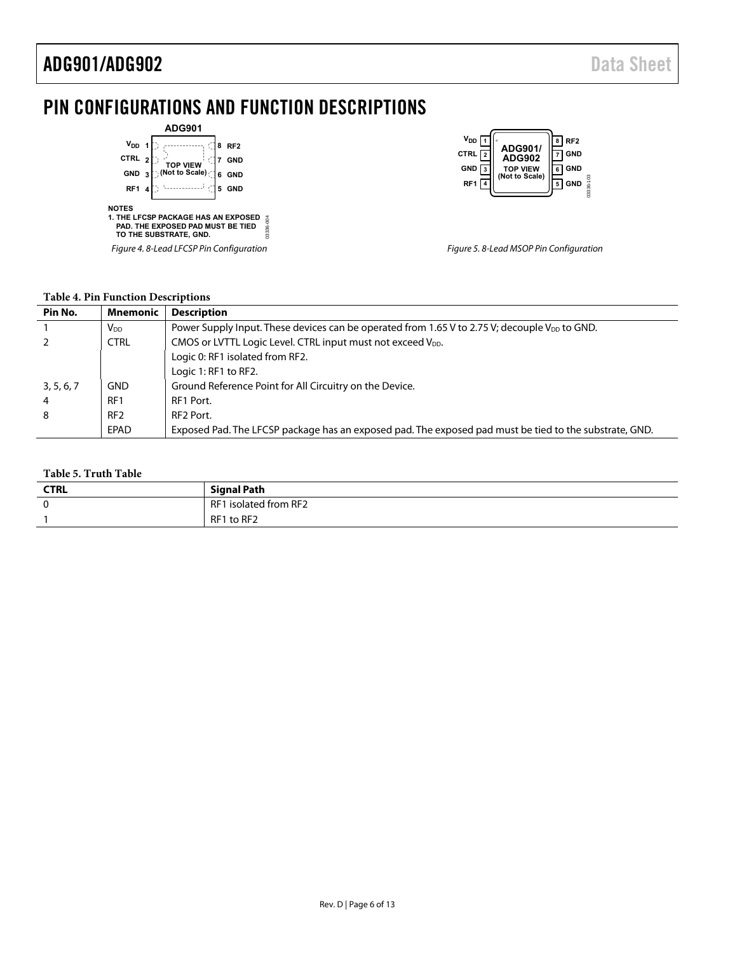# <span id="page-5-0"></span>PIN CONFIGURATIONS AND FUNCTION DESCRIPTIONS

|                 |                | <b>ADG901</b>                                                                                             |   |                 |          |
|-----------------|----------------|-----------------------------------------------------------------------------------------------------------|---|-----------------|----------|
| V <sub>DD</sub> |                |                                                                                                           | 8 | RF <sub>2</sub> |          |
| <b>CTRL</b>     | $\overline{2}$ | <b>TOP VIEW</b>                                                                                           |   | GND             |          |
| <b>GND</b>      | 3              | (Not to Scale)                                                                                            | 6 | <b>GND</b>      |          |
| RF <sub>1</sub> |                |                                                                                                           | 5 | <b>GND</b>      |          |
| <b>NOTES</b>    |                | <b>1. THE LFCSP PACKAGE HAS AN EXPOSED</b><br>PAD. THE EXPOSED PAD MUST BE TIED<br>TO THE SUBSTRATE. GND. |   |                 | 00-98336 |
|                 |                | Figure 4. 8-Lead LFCSP Pin Configuration                                                                  |   |                 |          |

| V <sub>DD</sub>  <br>RF <sub>2</sub><br>ADG901/<br>CTRL<br><b>ADG902</b><br><b>GND</b><br><b>TOP VIEW</b><br>(Not to Scale)<br>RF <sub>1</sub> | <b>GND</b><br><b>GND</b><br>$6 - 103$<br><b>GND</b> |
|------------------------------------------------------------------------------------------------------------------------------------------------|-----------------------------------------------------|
|------------------------------------------------------------------------------------------------------------------------------------------------|-----------------------------------------------------|

Figure 5. 8-Lead MSOP Pin Configuration

#### **Table 4. Pin Function Descriptions**

| Pin No.    | Mnemonic              | <b>Description</b>                                                                                     |
|------------|-----------------------|--------------------------------------------------------------------------------------------------------|
|            | <b>V<sub>DD</sub></b> | Power Supply Input. These devices can be operated from 1.65 V to 2.75 V; decouple $V_{DD}$ to GND.     |
|            | <b>CTRL</b>           | CMOS or LVTTL Logic Level. CTRL input must not exceed V <sub>DD</sub> .                                |
|            |                       | Logic 0: RF1 isolated from RF2.                                                                        |
|            |                       | Logic 1: RF1 to RF2.                                                                                   |
| 3, 5, 6, 7 | <b>GND</b>            | Ground Reference Point for All Circuitry on the Device.                                                |
|            | RF1                   | RF1 Port.                                                                                              |
| 8          | RF <sub>2</sub>       | RF <sub>2</sub> Port.                                                                                  |
|            | EPAD                  | Exposed Pad. The LFCSP package has an exposed pad. The exposed pad must be tied to the substrate, GND. |

#### **Table 5. Truth Table**

| -------------------- |                       |  |  |
|----------------------|-----------------------|--|--|
| <b>CTRL</b>          | Signal Path           |  |  |
|                      | RF1 isolated from RF2 |  |  |
|                      | RF1 to RF2            |  |  |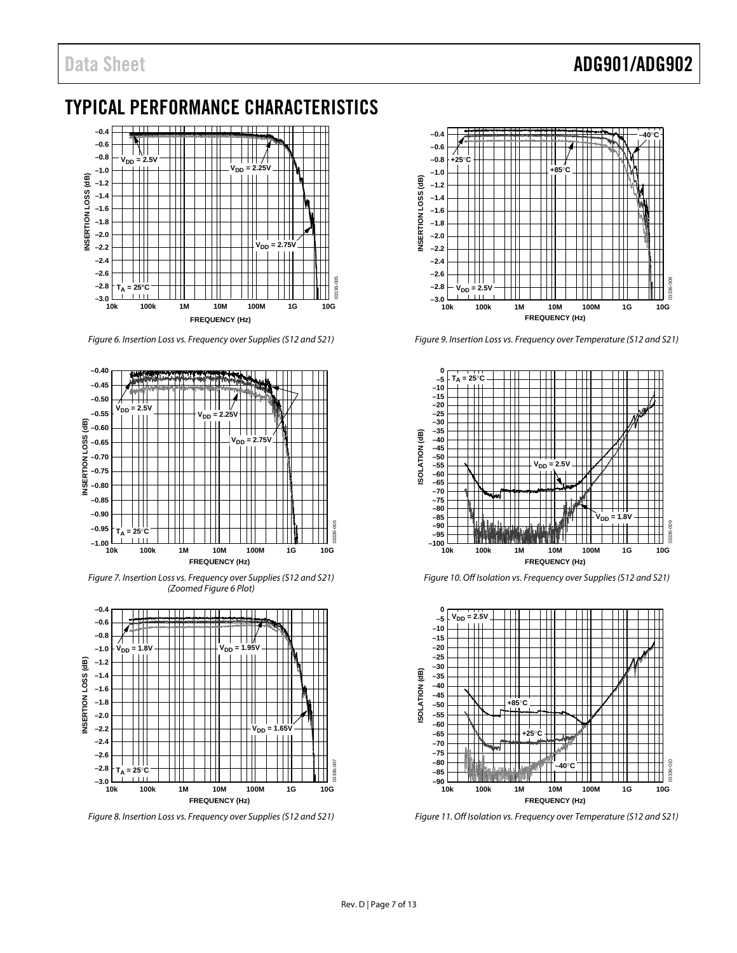# Data Sheet **ADG901/ADG902**

# <span id="page-6-0"></span>TYPICAL PERFORMANCE CHARACTERISTICS



<span id="page-6-1"></span>*Figure 6. Insertion Loss vs. Frequency over Supplies (S12 and S21)*



*Figure 7. Insertion Loss vs. Frequency over Supplies (S12 and S21) (Zoome[d Figure 6](#page-6-1) Plot)*



*Figure 8. Insertion Loss vs. Frequency over Supplies (S12 and S21)*



*Figure 9. Insertion Loss vs. Frequency over Temperature (S12 and S21)*



*Figure 10. Off Isolation vs. Frequency over Supplies (S12 and S21)*



*Figure 11. Off Isolation vs. Frequency over Temperature (S12 and S21)*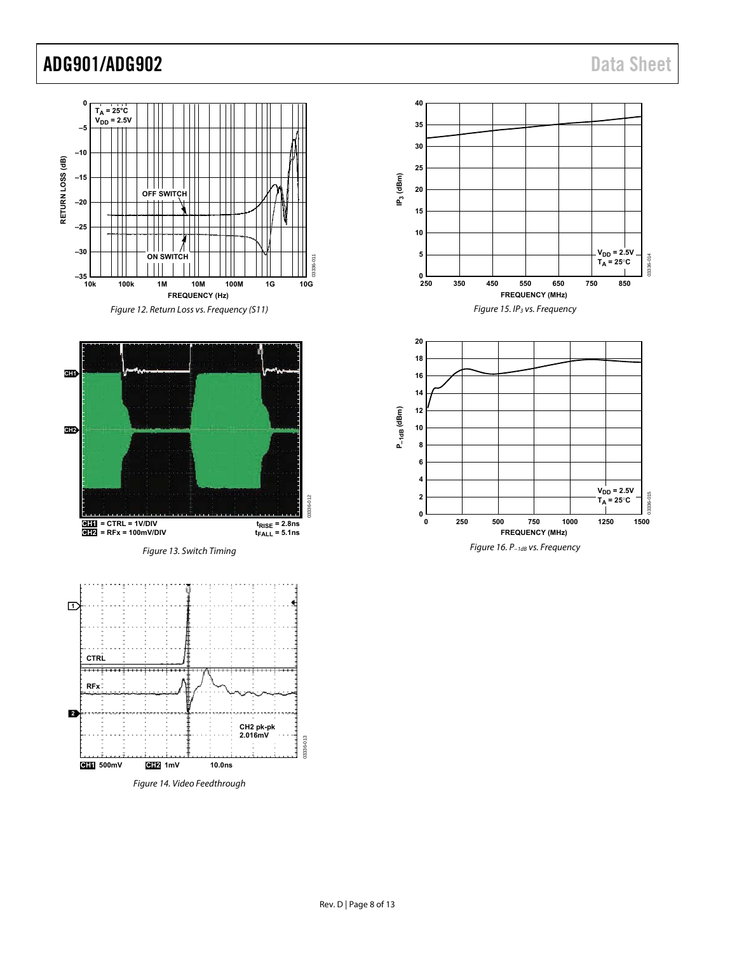# ADG901/ADG902 Data Sheet





Figure 13. Switch Timing



Figure 14. Video Feedthrough





Figure 16. P−1dB vs. Frequency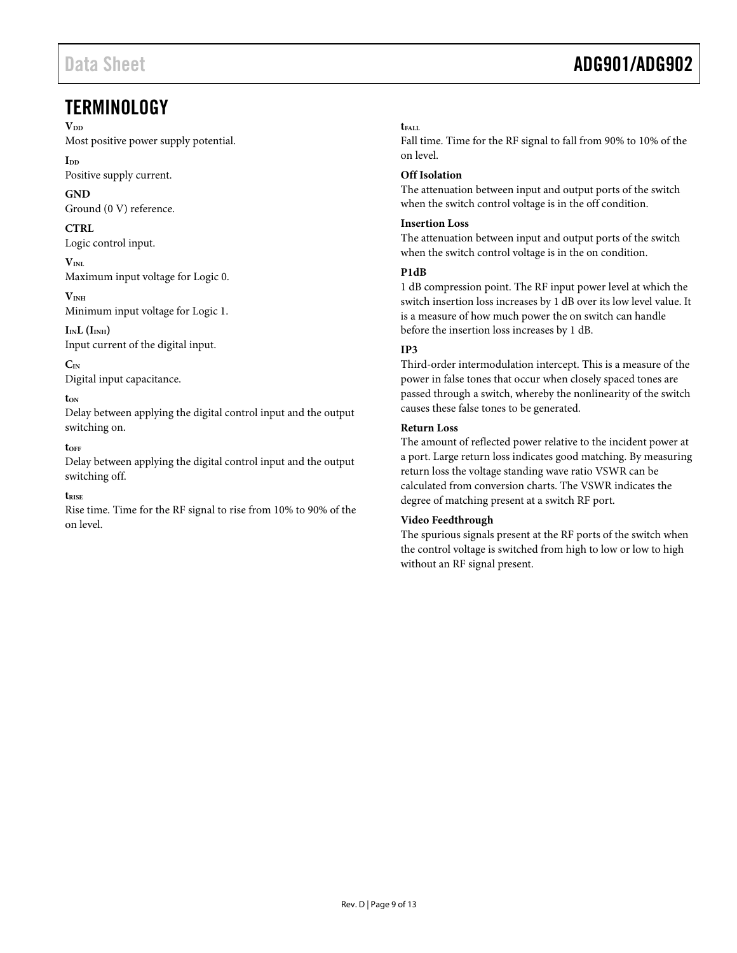## <span id="page-8-0"></span>**TERMINOLOGY**

 $V_{DD}$ 

Most positive power supply potential.

**IDD**

Positive supply current.

**GND** 

Ground (0 V) reference.

### **CTRL**

Logic control input.

 $V<sub>INI</sub>$ Maximum input voltage for Logic 0.

**VINH** Minimum input voltage for Logic 1.

 $I_{IN}L$  ( $I_{INH}$ ) Input current of the digital input.

**CIN** Digital input capacitance.

#### **tON**

Delay between applying the digital control input and the output switching on.

#### **tOFF**

Delay between applying the digital control input and the output switching off.

#### **tRISE**

Rise time. Time for the RF signal to rise from 10% to 90% of the on level.

# Data Sheet **ADG901/ADG902**

### **tFALL**

Fall time. Time for the RF signal to fall from 90% to 10% of the on level.

### **Off Isolation**

The attenuation between input and output ports of the switch when the switch control voltage is in the off condition.

#### **Insertion Loss**

The attenuation between input and output ports of the switch when the switch control voltage is in the on condition.

#### **P1dB**

1 dB compression point. The RF input power level at which the switch insertion loss increases by 1 dB over its low level value. It is a measure of how much power the on switch can handle before the insertion loss increases by 1 dB.

### **IP3**

Third-order intermodulation intercept. This is a measure of the power in false tones that occur when closely spaced tones are passed through a switch, whereby the nonlinearity of the switch causes these false tones to be generated.

#### **Return Loss**

The amount of reflected power relative to the incident power at a port. Large return loss indicates good matching. By measuring return loss the voltage standing wave ratio VSWR can be calculated from conversion charts. The VSWR indicates the degree of matching present at a switch RF port.

### **Video Feedthrough**

The spurious signals present at the RF ports of the switch when the control voltage is switched from high to low or low to high without an RF signal present.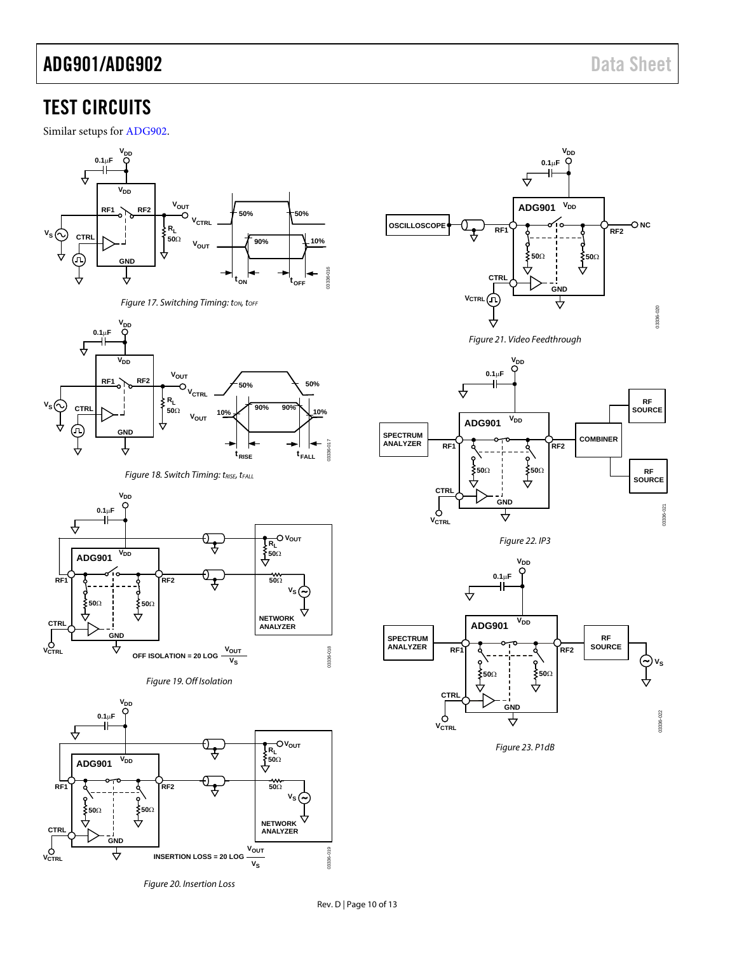# <span id="page-9-0"></span>TEST CIRCUITS

Similar setups fo[r ADG902.](http://www.analog.com/ADG902?doc=ADG901_902.pdf)



*Figure 17. Switching Timing: ton, torf* 



**Figure 18. Switch Timing: tRISE, tFALL** 







*Figure 20. Insertion Loss*



*Figure 21. Video Feedthrough*







*Figure 23. P1dB*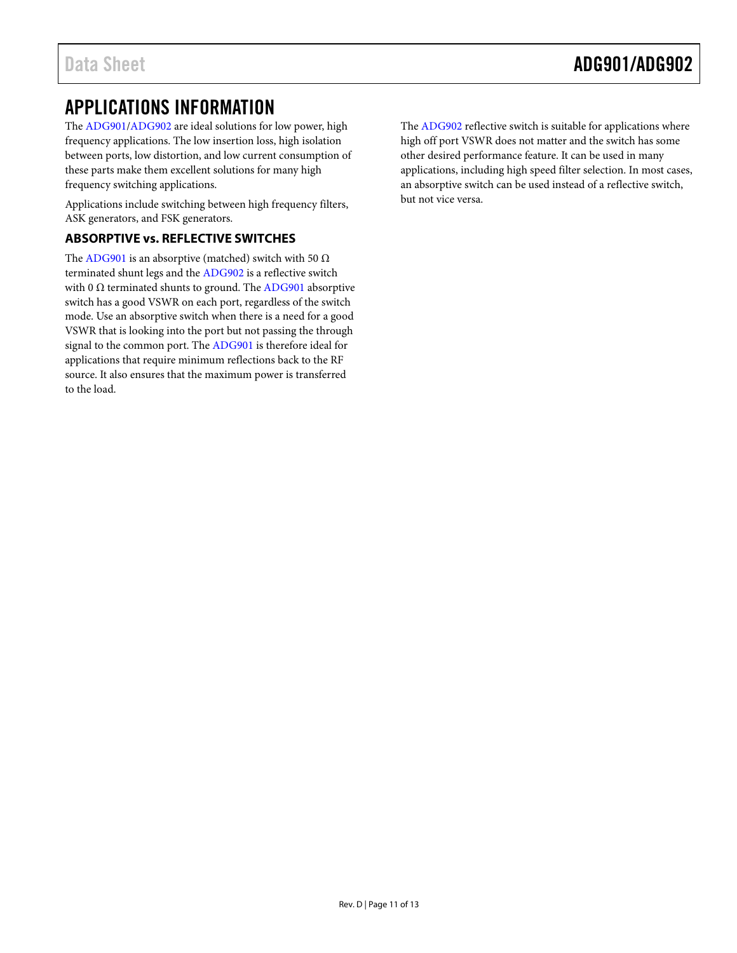# <span id="page-10-0"></span>APPLICATIONS INFORMATION

The [ADG901/](http://www.analog.com/ADG901?doc=ADG901_902.pdf)[ADG902](http://www.analog.com/ADG902?doc=ADG901_902.pdf) are ideal solutions for low power, high frequency applications. The low insertion loss, high isolation between ports, low distortion, and low current consumption of these parts make them excellent solutions for many high frequency switching applications.

Applications include switching between high frequency filters, ASK generators, and FSK generators.

### <span id="page-10-1"></span>**ABSORPTIVE vs. REFLECTIVE SWITCHES**

The [ADG901](http://www.analog.com/ADG901?doc=ADG901_902.pdf) is an absorptive (matched) switch with 50  $\Omega$ terminated shunt legs and th[e ADG902](http://www.analog.com/ADG902?doc=ADG901_902.pdf) is a reflective switch with 0  $\Omega$  terminated shunts to ground. The [ADG901](http://www.analog.com/ADG901?doc=ADG901_902.pdf) absorptive switch has a good VSWR on each port, regardless of the switch mode. Use an absorptive switch when there is a need for a good VSWR that is looking into the port but not passing the through signal to the common port. Th[e ADG901](http://www.analog.com/ADG901?doc=ADG901_902.pdf) is therefore ideal for applications that require minimum reflections back to the RF source. It also ensures that the maximum power is transferred to the load.

The [ADG902](http://www.analog.com/ADG902?doc=ADG901_902.pdf) reflective switch is suitable for applications where high off port VSWR does not matter and the switch has some other desired performance feature. It can be used in many applications, including high speed filter selection. In most cases, an absorptive switch can be used instead of a reflective switch, but not vice versa.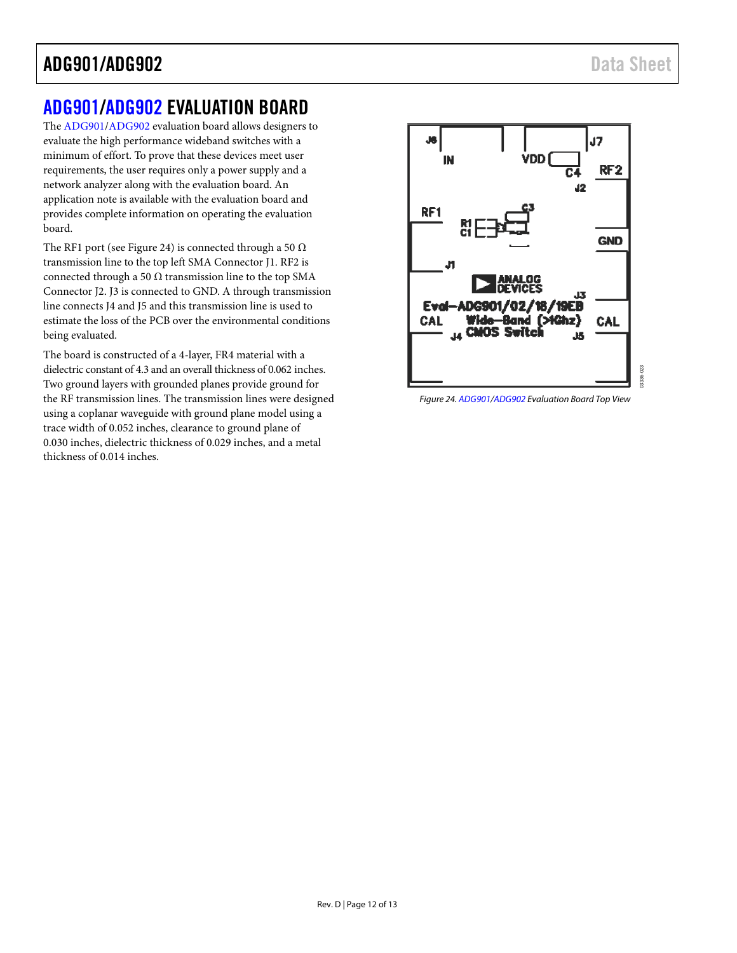# ADG901/ADG902 Data Sheet

# <span id="page-11-0"></span>[ADG901](http://www.analog.com/ADG901?doc=ADG901_902.pdf)[/ADG902](http://www.analog.com/ADG902?doc=ADG901_902.pdf) EVALUATION BOARD

The [ADG901/](http://www.analog.com/ADG901?doc=ADG901_902.pdf)[ADG902 e](http://www.analog.com/ADG902?doc=ADG901_902.pdf)valuation board allows designers to evaluate the high performance wideband switches with a minimum of effort. To prove that these devices meet user requirements, the user requires only a power supply and a network analyzer along with the evaluation board. An application note is available with the evaluation board and provides complete information on operating the evaluation board.

The RF1 port (se[e Figure 24\)](#page-11-1) is connected through a 50  $\Omega$ transmission line to the top left SMA Connector J1. RF2 is connected through a 50  $\Omega$  transmission line to the top SMA Connector J2. J3 is connected to GND. A through transmission line connects J4 and J5 and this transmission line is used to estimate the loss of the PCB over the environmental conditions being evaluated.

The board is constructed of a 4-layer, FR4 material with a dielectric constant of 4.3 and an overall thickness of 0.062 inches. Two ground layers with grounded planes provide ground for the RF transmission lines. The transmission lines were designed using a coplanar waveguide with ground plane model using a trace width of 0.052 inches, clearance to ground plane of 0.030 inches, dielectric thickness of 0.029 inches, and a metal thickness of 0.014 inches.



<span id="page-11-1"></span>Figure 24[. ADG901](http://www.analog.com/ADG901?doc=ADG901_902.pdf)[/ADG902 E](http://www.analog.com/ADG902?doc=ADG901_902.pdf)valuation Board Top View